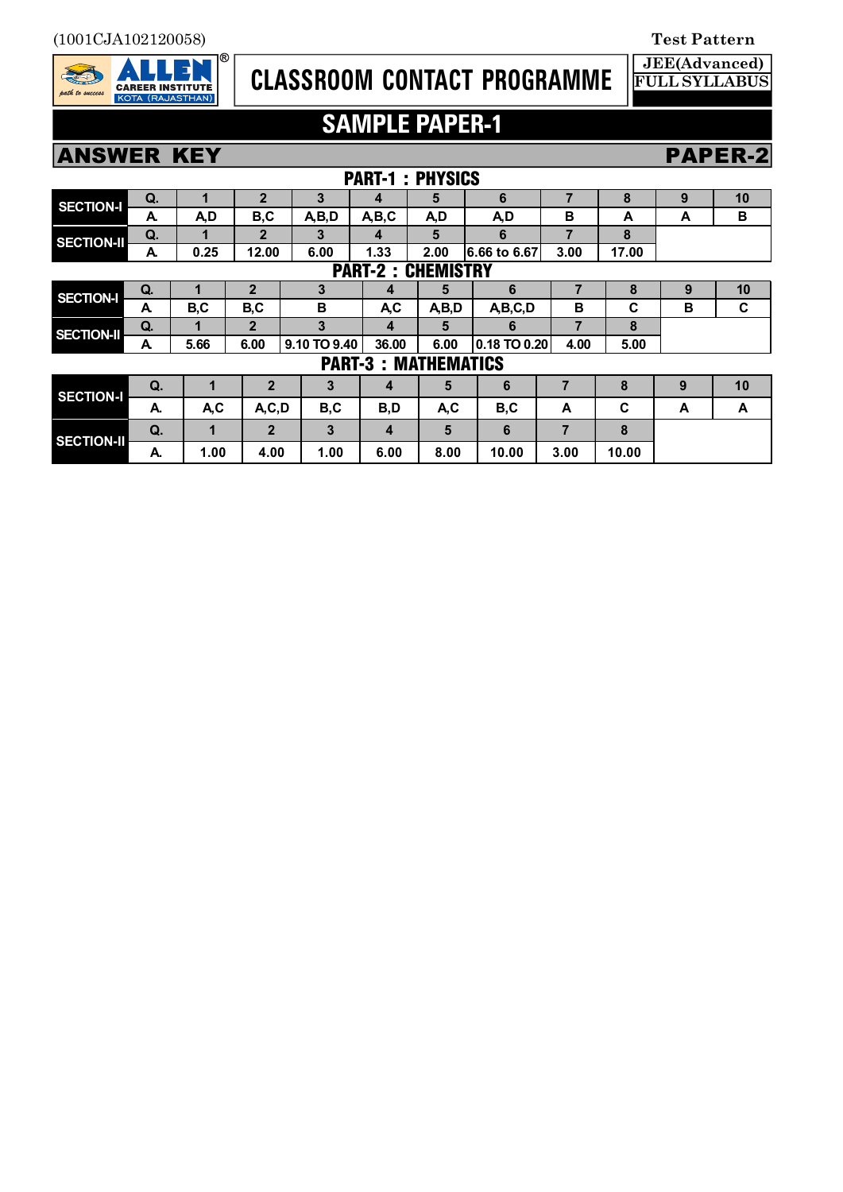(1001CJA102120058) **Test Pattern**



# **CLASSROOM CONTACT PROGRAMME**

# **SAMPLE PAPER-1**

**JEE(Advanced) FULL SYLLABUS**

## **ANSWER KEY PAPER-2**

|                                      |    |      |                |              | <b>PART-1: PHYSICS</b> |       |                  |                |       |   |    |
|--------------------------------------|----|------|----------------|--------------|------------------------|-------|------------------|----------------|-------|---|----|
| <b>SECTION-I</b>                     | Q. | 1    | $\overline{2}$ | 3            | 4                      | 5     | 6                | 7              | 8     | 9 | 10 |
|                                      | A. | A,D  | B,C            | A,B,D        | A,B,C                  | A,D   | A,D              | в              | A     | A | B  |
| <b>SECTION-II</b>                    | Q. |      | $\mathbf{2}$   | 3            | 4                      | 5     | 6                | 7              | 8     |   |    |
|                                      | A. | 0.25 | 12.00          | 6.00         | 1.33                   | 2.00  | 6.66 to 6.67     | 3.00           | 17.00 |   |    |
| <b>CHEMISTRY</b><br><b>PART-2:</b>   |    |      |                |              |                        |       |                  |                |       |   |    |
| <b>SECTION-I</b>                     | Q. | п    | $\mathbf{2}$   | 3            | 4                      | 5     | 6                | 7              | 8     | 9 | 10 |
|                                      | A  | B,C  | B,C            | В            | <b>AC</b>              | A,B,D | A,B,C,D          | B              | C     | B | C  |
| <b>SECTION-II</b>                    | Q. |      | $\mathbf{2}$   | 3            | 4                      | 5     | 6                | $\overline{7}$ | 8     |   |    |
|                                      | A  | 5.66 | 6.00           | 9.10 TO 9.40 | 36.00                  | 6.00  | $0.18$ TO $0.20$ | 4.00           | 5.00  |   |    |
| <b>PART-3:</b><br><b>MATHEMATICS</b> |    |      |                |              |                        |       |                  |                |       |   |    |
| <b>SECTION-I</b>                     | Q. | 1    | $\mathbf{2}$   | 3            | 4                      | 5     | 6                | 7              | 8     | 9 | 10 |
|                                      | А. | A,C  | A, C, D        | B,C          | B,D                    | A,C   | B,C              | A              | C     | A | A  |
| <b>SECTION-II</b>                    | Q. | 1    | $\overline{2}$ | 3            | 4                      | 5     | 6                | 7              | 8     |   |    |
|                                      | А. | 1.00 | 4.00           | 1.00         | 6.00                   | 8.00  | 10.00            | 3.00           | 10.00 |   |    |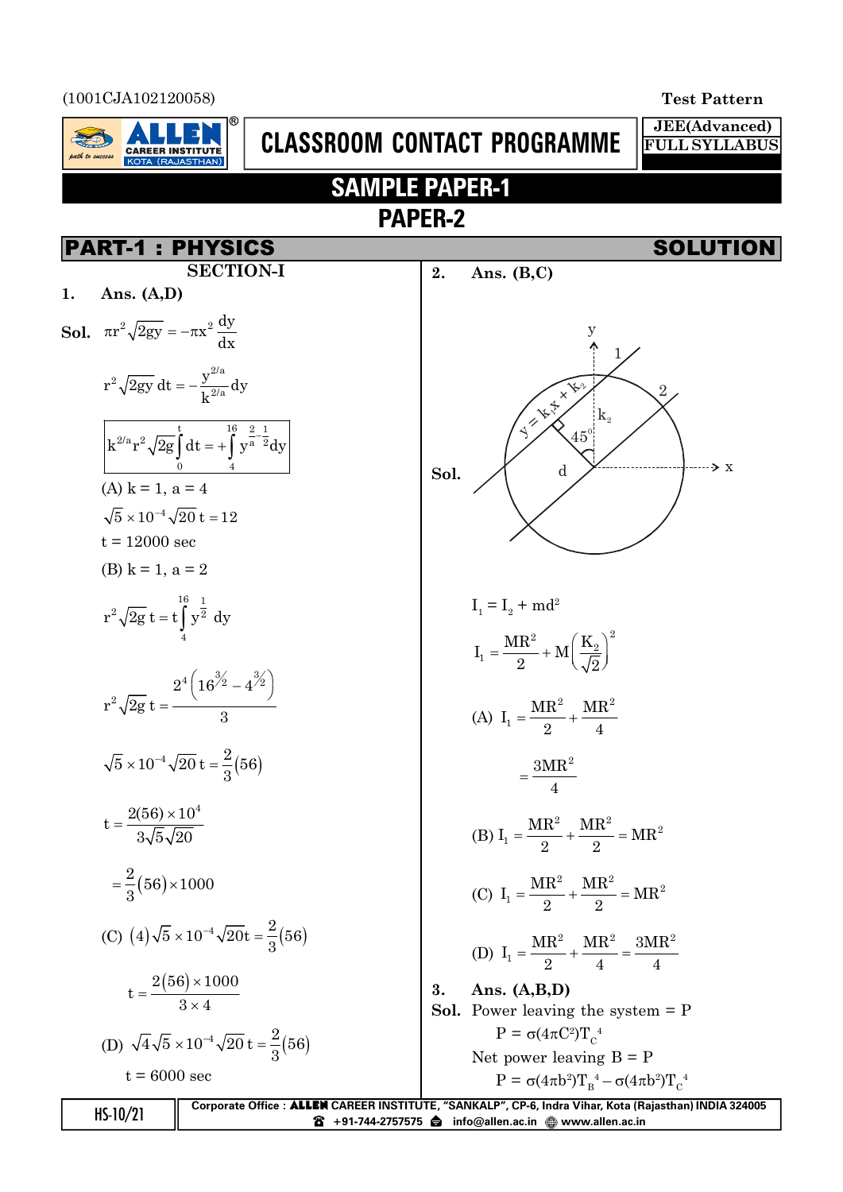

**8** +91-744-2757575 **info@allen.ac.in** @ www.allen.ac.in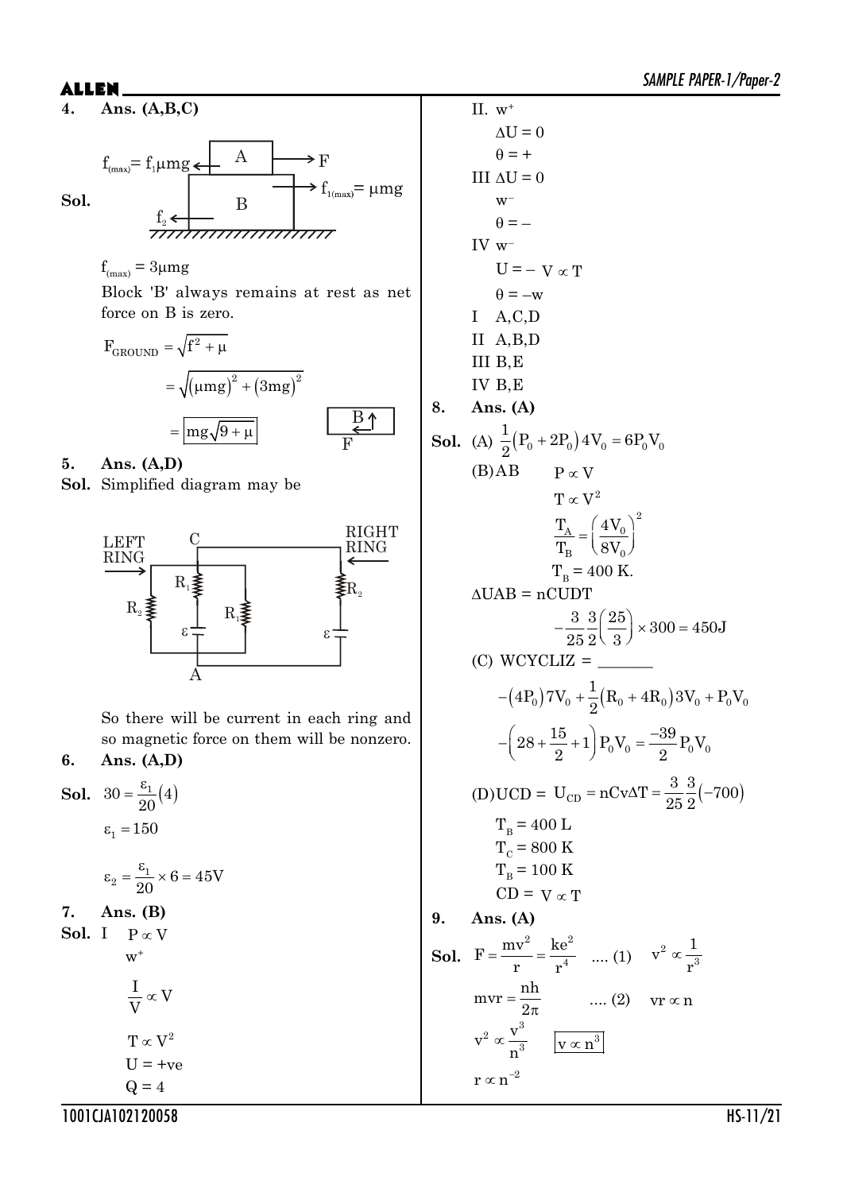$f_{\text{max}} = f_1 \mu mg$  $\bf{A}$  $f_{1(\text{max})} = \mu mg$ **Sol.** B  $\mathrm{f}_{\mathrm{2}}$ 

$$
f_{(max)} = 3 \mu mg
$$

Block 'B' always remains at rest as net force on B is zero.

$$
F_{\text{GROUND}} = \sqrt{f^2 + \mu}
$$
  
=  $\sqrt{(\mu mg)^2 + (3mg)^2}$   
=  $\frac{mg\sqrt{9 + \mu}}{F}$ 

**5. Ans. (A,D)**

**Sol.** Simplified diagram may be



So there will be current in each ring and so magnetic force on them will be nonzero.

### **6. Ans. (A,D)**

**Sol.**  $30 = \frac{\varepsilon_1}{20}(4)$  $\frac{8}{1}$  $\varepsilon_1 = 150$ 

$$
\epsilon_2 = \frac{\epsilon_1}{20} \times 6 = 45V
$$

**7. Ans. (B)**

**Sol.** I  $P \propto V$  $W^+$ 

$$
\frac{1}{V} \propto V
$$
  
T \propto V<sup>2</sup>  
U = +ve  
Q = 4

II.  $w^+$  $\Delta U = 0$  $\theta = +$ III  $\Delta U = 0$  $W^ \theta = -$ IV w–  $U = -V \propto T$  $\theta = -w$ I A,C,D II A,B,D III B,E IV B,E **8. Ans. (A) Sol.** (A)  $\frac{1}{2}(P_0 + 2P_0) 4V_0 = 6P_0V_0$  $\frac{1}{6}(P_0 + 2P_0) 4V_0 = 6P_0V$ 2  $+2P_0$ )  $4V_0 = 0$ (B) $AB$   $P \propto V$  $T \propto V^2$ 2  $A = \begin{matrix} 4 & v_0 \\ 0 & 0 \end{matrix}$  $B \sim 0$  $T_{\rm A}$  (4V)  $T_{\rm_B}$  (8V)  $(4V_0)^2$  $=\left(\frac{1}{8V_0}\right)^{1/2}$  $T_B = 400$  K.  $\triangle UAB = nCUDT$  $\frac{3}{25}$  $\frac{3}{2}$  $\left(\frac{25}{2}\right)$   $\times$  300 = 450J  $25\,2\sqrt{3}$  $-\frac{3}{25}\frac{3}{2}\left(\frac{25}{3}\right)\times300=$  $(C)$  WCYCLIZ =  $(4P_0)7V_0 + (R_0 + 4R_0)3V_0 + P_0V_0$  $(4P_0) 7V_0 + \frac{1}{2}(R_0 + 4R_0) 3V_0 + P_0V$ 2  $-(4P_0)7V_0 + \frac{1}{2}(R_0 + 4R_0)3V_0 +$  $28 + \frac{15}{9} + 1$   $P_0V_0 = \frac{-39}{9}P_0V_0$  $2$   $7^{-0.0}$   $2$  $-\left(28 + \frac{15}{2} + 1\right) P_0 V_0 = -$ (D)UCD =  $U_{CD} = nCv\Delta T = \frac{3}{25} \frac{3}{8} (-700)$ 25 2  $= nCv\Delta T = \frac{6}{35} \frac{e}{c}$  $T_B$  = 400 L  $T_c$  = 800 K  $T_B$  = 100 K  $CD = V \propto T$ **9. Ans. (A) Sol.** 2  $\frac{1}{2}$  $F = \frac{mv^2}{r} = \frac{ke}{r^4}$  $=\frac{mv}{r} = \frac{ke}{r^4}$  .... (1)  $v^2 \propto \frac{1}{r^3}$  $v^2 \propto \frac{1}{2}$ r  $\infty$  $mvr = \frac{nh}{r}$ 2  $=$  $\frac{\pi}{\pi}$  .... (2) vr  $\propto$  n 3 2 3  $v^2 \propto \frac{v}{c}$ n  $\propto \frac{v}{r^3}$   $\left| v \propto n^3 \right|$ 

 $\rm r \varpropto n^{-2}$ 

1001CJA102120058 HS-11/21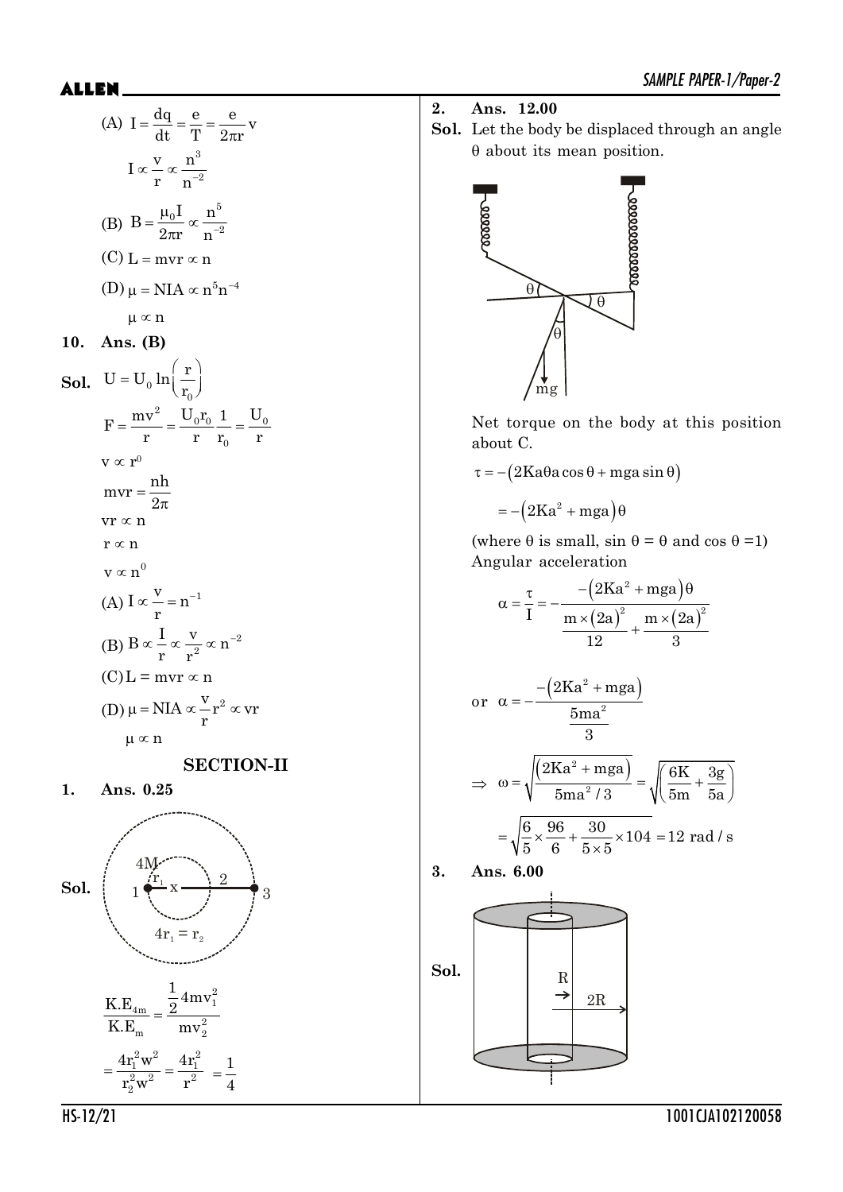$$
2. \quad \text{Ans. } 12.00
$$

**Sol.** Let the body be displaced through an angle  $\theta$  about its mean position.



Net torque on the body at this position about C.

 $\tau = -(2Ka\theta a \cos \theta + mga \sin \theta)$ 

 $= -(2Ka^2 + mga)\theta$ 

(where  $\theta$  is small, sin  $\theta = \theta$  and cos  $\theta = 1$ ) Angular acceleration

$$
\alpha = \frac{\tau}{I} = -\frac{-\left(2Ka^2 + mga\right)\theta}{\frac{m \times (2a)^2}{12} + \frac{m \times (2a)^2}{3}}
$$

or 
$$
\alpha = -\frac{-\left(2Ka^2 + mga\right)}{5ma^2}
$$

$$
\Rightarrow \omega = \sqrt{\frac{(2Ka^2 + mga)}{5ma^2/3}} = \sqrt{\frac{6K}{5m} + \frac{3g}{5a}}
$$

$$
= \sqrt{\frac{6}{5} \times \frac{96}{6} + \frac{30}{5 \times 5} \times 104} = 12 \text{ rad/s}
$$

$$
3. \quad \text{Ans. } 6.00
$$



(D) 
$$
2\pi r \ln^{-2}
$$
  
\n(C) 
$$
L = mvr \propto n
$$
  
\n(D) 
$$
\mu = NIA \propto n^{5}n^{-4}
$$
  
\n
$$
\mu \propto n
$$
  
\n10. Ans. (B)  
\nSol. 
$$
U = U_0 \ln \left(\frac{r}{r_0}\right)
$$
  
\n
$$
F = \frac{mv^2}{r} = \frac{U_0 r_0}{r} \frac{1}{r_0} = \frac{U_0}{r}
$$
  
\n
$$
v \propto r^0
$$
  
\n
$$
mvr = \frac{nh}{2\pi}
$$
  
\n
$$
vr \propto n
$$
  
\n
$$
r \propto n
$$
  
\n(A) 
$$
I \propto \frac{v}{r} = n^{-1}
$$
  
\n(B) 
$$
B \propto \frac{I}{r} \propto \frac{v}{r^2} \propto n^{-2}
$$
  
\n(C) 
$$
L = mvr \propto n
$$
  
\n(D) 
$$
\mu = NIA \propto \frac{v}{r}r^2 \propto vr
$$
  
\n
$$
\mu \propto n
$$

(A)  $I = \frac{dq}{dt} = \frac{e}{R} = \frac{e}{2}$ dt T  $2\pi r$ 

> $I \propto \frac{V}{r} \propto \frac{n^3}{n^{-2}}$  $\frac{x}{r} \propto \frac{1}{n}$

 $B = \frac{\mu_0 I}{2} \propto \frac{n}{2}$ 

 $=\frac{\mu_0 I}{2} \propto$ 

3

 $\rm _0 I$ <sub>or</sub>  $\rm n^5$ 

 $\pi$ 

2

 $=$ 

(B)

### **SECTION-II**

**1. Ans. 0.25**

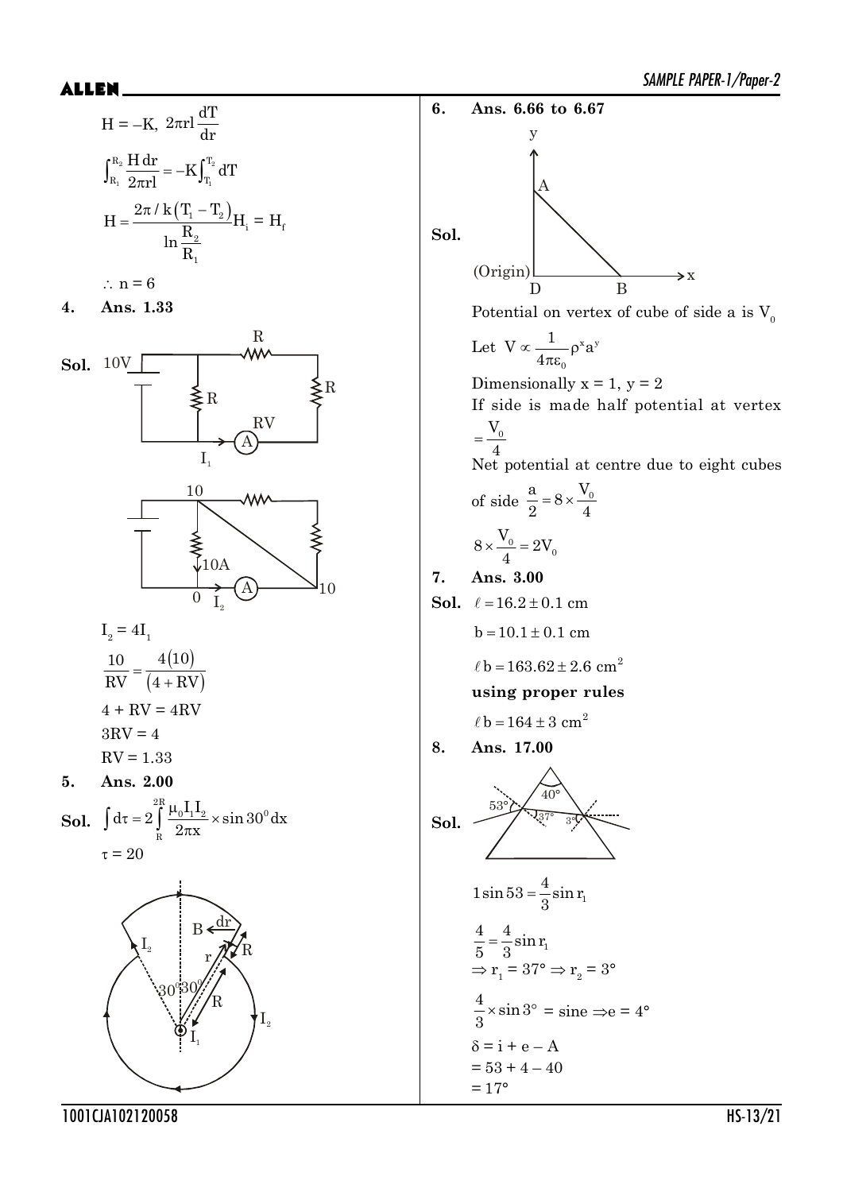$$
H = -K, 2\pi r l \frac{dT}{dr}
$$

$$
\int_{R_1}^{R_2} \frac{H dr}{2\pi r l} = -K \int_{T_1}^{T_2} dT
$$

$$
H = \frac{2\pi / k (T_1 - T_2)}{\ln \frac{R_2}{R_1}} H_i = H_f
$$

$$
\therefore n = 6
$$





$$
I_2 = 4I_1
$$
  

$$
\frac{10}{RV} = \frac{4(10)}{(4 + RV)}
$$
  

$$
4 + RV = 4RV
$$
  

$$
3RV = 4
$$
  

$$
RV = 1.33
$$

**5. Ans. 2.00**

**Sol.** 
$$
\int d\tau = 2 \int_{R}^{2R} \frac{\mu_0 I_1 I_2}{2\pi x} \times \sin 30^\circ dx
$$

$$
\tau = 20
$$



SAMPLE PAPER-1/Paper-2 \$//(1 **6. Ans. 6.66 to 6.67 Sol.** D B A (Origin) y  $\Rightarrow$  x Potential on vertex of cube of side a is  $\mathbf{V_0}$ Let  $V \propto \frac{1}{\alpha} - \rho^x a^y$ 0  $V \propto \frac{1}{1-\rho^x}$ a 4  $\propto \frac{1}{\rho^x}$  $\pi\varepsilon$ Dimensionally  $x = 1$ ,  $y = 2$ If side is made half potential at vertex  $V^{\,}_{0}$ 4  $=$ Net potential at centre due to eight cubes of side  $\frac{a}{2} = 8 \times \frac{V_0}{4}$  $= 8 \times$  $\frac{0}{1}$  = 2 $V_0$  $8 \times \frac{V_0}{I} = 2V$ 4  $x \frac{0}{0} = 2$ **7. Ans. 3.00 Sol.**  $\ell = 16.2 \pm 0.1$  cm  $b = 10.1 \pm 0.1$  cm  $\ell$  b = 163.62 ± 2.6 cm<sup>2</sup> **using proper rules**  $\ell$  b = 164  $\pm$  3 cm<sup>2</sup> **8. Ans. 17.00 Sol.** 53° 40° 37° 3° 1  $1\sin 53 = \frac{4}{3}\sin r$ 3  $=$  $\frac{4}{5} = \frac{4}{8} \sin r_1$ 5 3  $=$  $\Rightarrow$  r<sub>1</sub> = 37°  $\Rightarrow$  r<sub>2</sub> = 3°  $\frac{4}{5} \times \sin 3$  $\frac{4}{3} \times \sin 3^\circ = \text{sine} \implies e = 4^\circ$  $\delta = i + e - A$  $= 53 + 4 - 40$ 

 $= 17$ °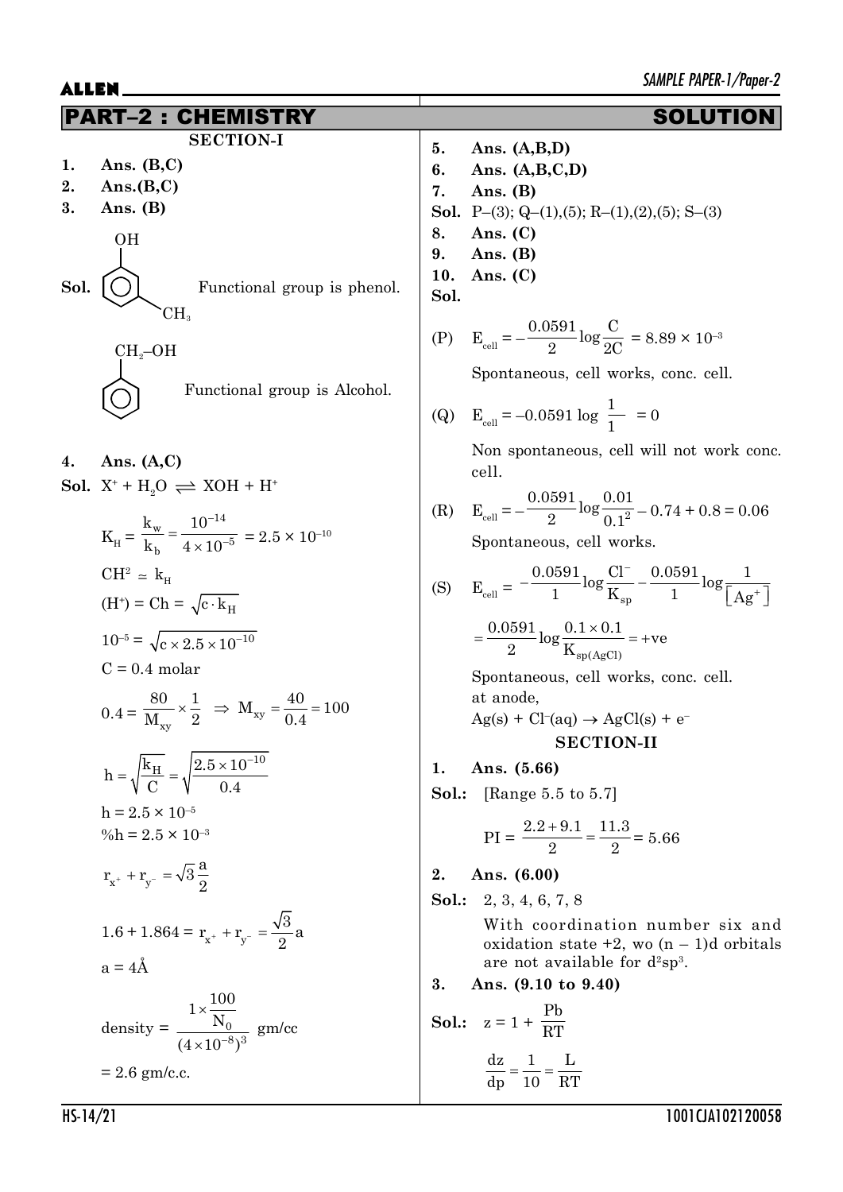|                | Г-2 : СНЕ                                                                                                                                                                                                                                                 |                            | <b>SOLUTIC</b>                                                                                                                                                                                                                                                                              |
|----------------|-----------------------------------------------------------------------------------------------------------------------------------------------------------------------------------------------------------------------------------------------------------|----------------------------|---------------------------------------------------------------------------------------------------------------------------------------------------------------------------------------------------------------------------------------------------------------------------------------------|
| 1.<br>2.<br>3. | <b>SECTION-I</b><br>Ans. $(B,C)$<br>Ans.(B,C)<br>Ans. $(B)$<br>0H                                                                                                                                                                                         | 5.<br>6.<br>7.<br>8.<br>9. | Ans. $(A,B,D)$<br>Ans. $(A,B,C,D)$<br>Ans. $(B)$<br><b>Sol.</b> P-(3); Q-(1),(5); R-(1),(2),(5); S-(3)<br>Ans. $(C)$<br>Ans. $(B)$                                                                                                                                                          |
| Sol.           | Functional group is phenol.<br>CH <sub>s</sub><br>$CH_2$ -OH<br>Functional group is Alcohol.                                                                                                                                                              | 10.<br>Sol.                | Ans. $(C)$<br>(P) $E_{cell} = -\frac{0.0591}{9} \log \frac{C}{2C} = 8.89 \times 10^{-3}$<br>Spontaneous, cell works, conc. cell.<br>(Q) $E_{cell} = -0.0591 \log \frac{1}{1} = 0$                                                                                                           |
| 4.             | Ans. $(A, C)$<br><b>Sol.</b> $X^+ + H_2O \rightleftharpoons XOH + H^+$<br>$K_{\text{H}} = \frac{k_{\text{w}}}{k_{\text{b}}} = \frac{10^{-14}}{4 \times 10^{-5}} = 2.5 \times 10^{-10}$<br>$CH^2 \approx k_{\rm H}$<br>$(H^+)$ = Ch = $\sqrt{c \cdot k_H}$ | (S)                        | Non spontaneous, cell will not work conc.<br>cell.<br>(R) $E_{cell} = -\frac{0.0591}{9} \log \frac{0.01}{0.1^2} - 0.74 + 0.8 = 0.06$<br>Spontaneous, cell works.<br>$E_{cell} = -\frac{0.0591}{1} log \frac{CI^{-}}{K_{on}} - \frac{0.0591}{1} log \frac{I}{\left[Ag^{+}\right]}$           |
|                | $10^{-5} = \sqrt{c \times 2.5 \times 10^{-10}}$<br>$C = 0.4$ molar<br>$0.4 = \frac{80}{M} \times \frac{1}{2}$ $\Rightarrow$ $M_{xy} = \frac{40}{0.4} = 100$<br>$h = \sqrt{\frac{k_{\rm H}}{C}} = \sqrt{\frac{2.5 \times 10^{-10}}{0.4}}$                  | 1.                         | $=\frac{0.0591}{2} \log \frac{0.1 \times 0.1}{K}$ = +ve<br>Spontaneous, cell works, conc. cell.<br>at anode,<br>$\text{Ag}(s) + \text{Cl}^-(aq) \rightarrow \text{AgCl}(s) + e^-$<br><b>SECTION-II</b><br>Ans. (5.66)<br><b>Sol.:</b> [Range 5.5 to 5.7]                                    |
|                | $h = 2.5 \times 10^{-5}$<br>%h = $2.5 \times 10^{-3}$<br>$r_{x^+} + r_{y^-} = \sqrt{3} \frac{a}{2}$<br>1.6 + 1.864 = $r_{x^+} + r_{y^-} = \frac{\sqrt{3}}{2}a$<br>$a = 4\AA$<br>density = $\frac{1 \times \frac{100}{N_0}}{(4 \times 10^{-8})^3}$ gm/cc   | 2.<br>3.                   | $PI = \frac{2.2 + 9.1}{2} = \frac{11.3}{2} = 5.66$<br>Ans. (6.00)<br><b>Sol.:</b> 2, 3, 4, 6, 7, 8<br>With coordination number six and<br>oxidation state $+2$ , wo $(n - 1)d$ orbitals<br>are not available for $d^2sp^3$ .<br>Ans. (9.10 to 9.40)<br><b>Sol.:</b> $z = 1 + \frac{Pb}{RT}$ |
|                | $= 2.6$ gm/c.c.                                                                                                                                                                                                                                           |                            | $\frac{dz}{dp} = \frac{1}{10} = \frac{L}{RT}$                                                                                                                                                                                                                                               |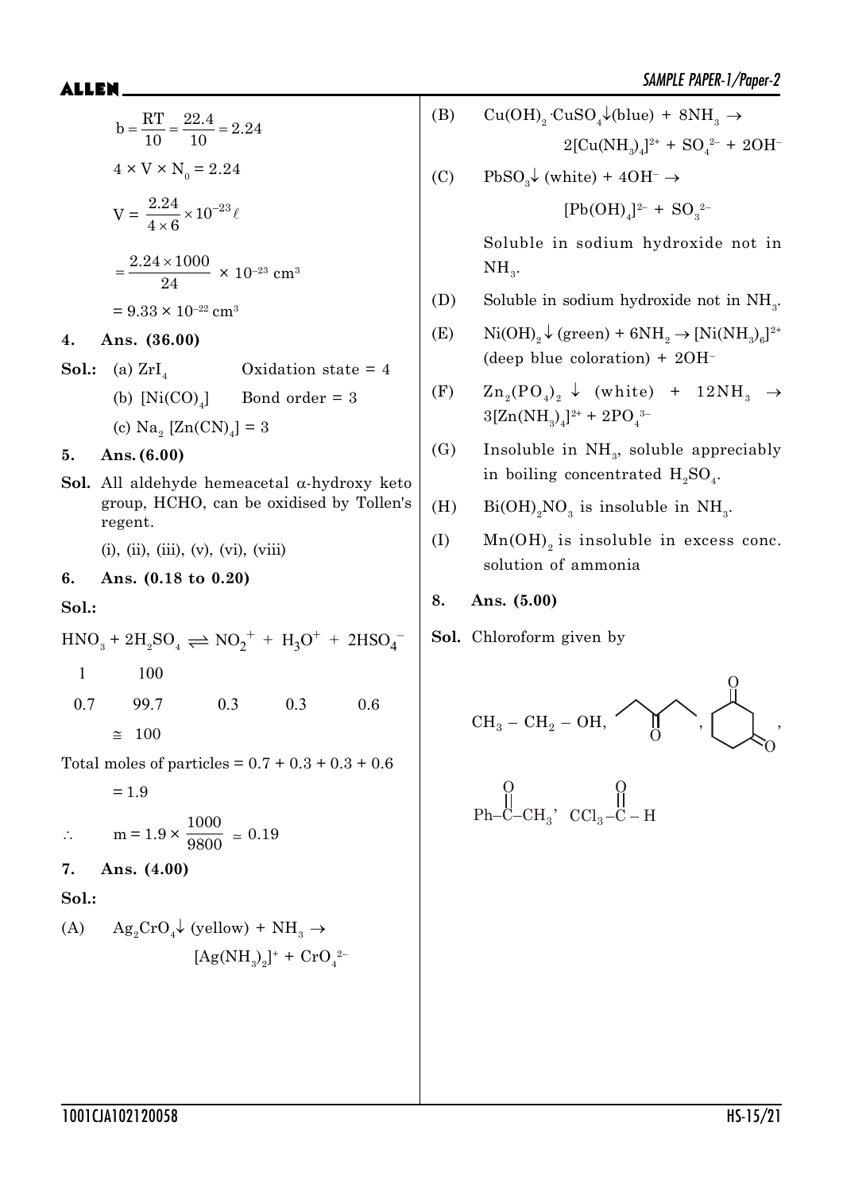$$
b = \frac{RT}{10} = \frac{22.4}{10} = 2.24
$$
  
\n
$$
4 \times V \times N_0 = 2.24
$$
  
\n
$$
V = \frac{2.24}{4 \times 6} \times 10^{-23} \ell
$$
  
\n
$$
= \frac{2.24 \times 1000}{24} \times 10^{-23} \text{ cm}^3
$$
  
\n
$$
= 9.33 \times 10^{-22} \text{ cm}^3
$$
  
\n4. Ans. (36.00)  
\nSol.: (a) ZrI<sub>4</sub> Oxidation state = 4  
\n(b) [Ni(CO)<sub>4</sub>] Bond order = 3  
\n(c) Na<sub>2</sub> [Zn(CN)<sub>4</sub>] = 3  
\n5. Ans. (6.00)  
\nSol. All aldehyde hemeacetal α-hydroxy keto  
\ngroup, HCHO, can be oxidised by Tollen's  
\nregent.

 $(i)$ ,  $(ii)$ ,  $(iii)$ ,  $(v)$ ,  $(vi)$ ,  $(viii)$ 

#### **6. Ans. (0.18 to 0.20)**

**Sol.:**

 $5.$ 

$$
\mathrm{HNO_3} + 2\mathrm{H_2SO_4} \rightleftharpoons \mathrm{NO_2}^+ + \mathrm{H_3O}^+ + 2\mathrm{HSO_4}^-
$$

- 1 100
- 0.7 99.7 0.3 0.3 0.6  $\approx$  100

Total moles of particles =  $0.7 + 0.3 + 0.3 + 0.6$ 

 $= 1.9$ 

$$
\therefore \qquad m = 1.9 \times \frac{1000}{9800} \approx 0.19
$$

**7. Ans. (4.00)**

**Sol.:**

(A) 
$$
Ag_2CrO_4 \downarrow (yellow) + NH_3 \rightarrow
$$

$$
[Ag(NH_3)_2]^+ + CrO_4^{2-}
$$

- (B)  $Cu(OH)_2 \cdot CuSO_4 \downarrow (blue) + 8NH_3 \rightarrow$  $2[\text{Cu(NH<sub>3</sub>)<sub>4</sub>]<sup>2+</sup> + SO<sub>4</sub><sup>2-</sup> + 2OH<sup>-</sup>$
- (C) PbSO<sub>3</sub> $\downarrow$  (white) + 4OH<sup>-</sup>  $\rightarrow$

$$
[Pb(OH)_4]^{2-} + SO_3^{2-}
$$

Soluble in sodium hydroxide not in  $NH<sub>3</sub>$ .

- (D) Soluble in sodium hydroxide not in  $NH<sub>3</sub>$ .
- (E)  $\text{Ni(OH)}_{2} \downarrow \text{(green)} + 6\text{NH}_{2} \rightarrow \text{[Ni(NH}_{3})_{6}]^{2+}$ (deep blue coloration) + 2OH–
- (F)  $Zn_2(PO_4)_2 \downarrow (white) + 12NH_3 \rightarrow$  $3[Zn(NH_3)_4]^{2+} + 2PO_4^{3-}$
- (G) Insoluble in  $NH<sub>3</sub>$ , soluble appreciably in boiling concentrated  $H_2SO_4$ .
- (H)  $Bi(OH)_{2}NO_{3}$  is insoluble in NH<sub>3</sub>.
- (I) Mn(OH)<sub>2</sub> is insoluble in excess conc. solution of ammonia
- **8. Ans. (5.00)**
- **Sol.** Chloroform given by

$$
\text{CH}_3-\text{CH}_2-\text{OH},\n\qquad \qquad \begin{picture}(10,10) \put(0,0){\line(1,0){10}} \put(15,0){\line(1,0){10}} \put(15,0){\line(1,0){10}} \put(15,0){\line(1,0){10}} \put(15,0){\line(1,0){10}} \put(15,0){\line(1,0){10}} \put(15,0){\line(1,0){10}} \put(15,0){\line(1,0){10}} \put(15,0){\line(1,0){10}} \put(15,0){\line(1,0){10}} \put(15,0){\line(1,0){10}} \put(15,0){\line(1,0){10}} \put(15,0){\line(1,0){10}} \put(15,0){\line(1,0){10}} \put(15,0){\line(1,0){10}} \put(15,0){\line(1,0){10}} \put(15,0){\line(1,0){10}} \put(15,0){\line(1,0){10}} \put(15,0){\line(1,0){10}} \put(15,0){\line(1,0){10}} \put(15,0){\line(1,0){10}} \put(15,0){\line(1,0){10}} \put(15,0){\line(1,0){10}} \put(15,0){\line(1,0){10}} \put(15,0){\line(1,0){10}} \put(15,0){\line(1,0){10}} \put(15,0){\line(1,0){10}} \put(15,0){\line(1,0){10}} \put(15,0){\line(1,0){10}} \put(15,0){\line(1,0){10}} \put(15,0){\line(1,0){10}} \put(15,0){\line(1,0){10}} \put(15,0){\line(1,0){10}} \put(15,0){\line(1,0){10}} \put(15,0){\line(1,0){10}} \put(15,0){\line(1,0){10}} \put(15,0){\line(1,0){10}} \put(15,0){\line(1,0){10}} \put(15,0){\line(1,0){10}} \put(15,0){\line(1,0){10}} \put(15
$$

$$
\begin{matrix} & 0 \\ & || & \\ \text{Ph--C--CH}_3 & \text{CCl}_3-\text{C--H} \end{matrix}
$$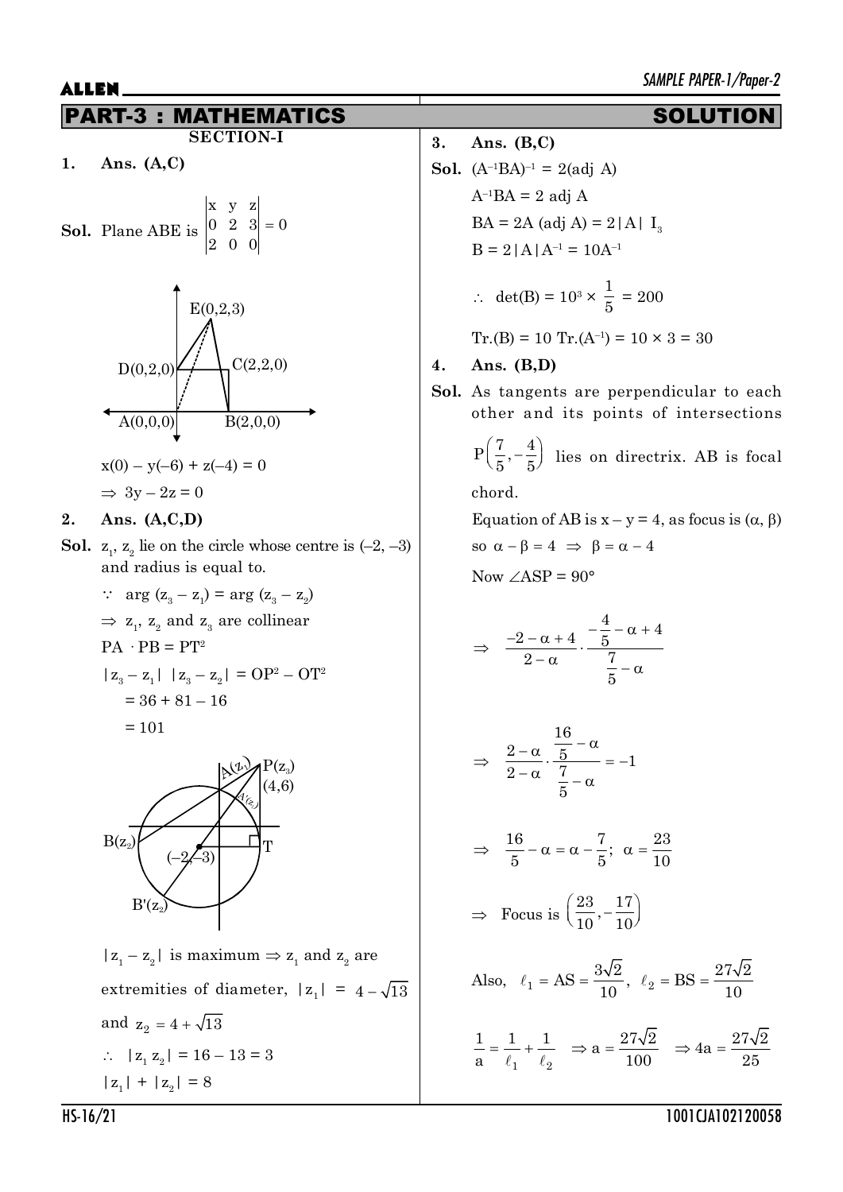#### PART-3 : MATHEMATICS SOLUTION **SECTION-I**

**1. Ans. (A,C)**

**Sol.** Plane ABE is 
$$
\begin{vmatrix} x & y & z \\ 0 & 2 & 3 \\ 2 & 0 & 0 \end{vmatrix} = 0
$$



$$
x(0) - y(-6) + z(-4) = 0
$$
  
\n
$$
\Rightarrow 3y - 2z = 0
$$

### **2. Ans. (A,C,D)**

- **Sol.**  $z_1$ ,  $z_2$  lie on the circle whose centre is  $(-2, -3)$ and radius is equal to.
	- :  $arg (z_3 z_1) = arg (z_3 z_2)$  $\Rightarrow$  z<sub>1</sub>, z<sub>2</sub> and z<sub>3</sub> are collinear  $PA \cdot PB = PT^2$  $|z_3 - z_1|$   $|z_3 - z_2|$  = OP<sup>2</sup> – OT<sup>2</sup>  $= 36 + 81 - 16$  $= 101$



 $|z_1 - z_2|$  is maximum  $\Rightarrow$   $z_1$  and  $z_2$  are extremities of diameter,  $|z_1| = 4 - \sqrt{13}$ and  $z_2 = 4 + \sqrt{13}$  $\therefore$   $|z_1 z_2| = 16 - 13 = 3$  $|z_1| + |z_2| = 8$ 

**3. Ans. (B,C)**

**Sol.** 
$$
(A^{-1}BA)^{-1} = 2(\text{adj } A)
$$
  
 $A^{-1}BA = 2 \text{ adj } A$   
 $BA = 2A (\text{adj } A) = 2|A| I_3$   
 $B = 2|A|A^{-1} = 10A^{-1}$ 

$$
\therefore \ \det(B) = 10^3 \times \frac{1}{5} = 200
$$

$$
Tr.(B) = 10 Tr.(A^{-1}) = 10 \times 3 = 30
$$

- **4. Ans. (B,D)**
- **Sol.** As tangents are perpendicular to each other and its points of intersections

$$
P\left(\frac{7}{5}, -\frac{4}{5}\right)
$$
 lies on directrix. AB is focal

chord.

Equation of AB is  $x - y = 4$ , as focus is  $(\alpha, \beta)$ so  $\alpha - \beta = 4 \implies \beta = \alpha - 4$ 

Now  $\angle$ ASP = 90 $^{\circ}$ 

$$
\Rightarrow \frac{-2-\alpha+4}{2-\alpha} \cdot \frac{-\frac{4}{5}-\alpha+4}{\frac{7}{5}-\alpha}
$$

$$
\Rightarrow \frac{2-\alpha}{2-\alpha} \cdot \frac{\frac{16}{5}-\alpha}{\frac{7}{5}-\alpha} = -1
$$

$$
\Rightarrow \frac{16}{5} - \alpha = \alpha - \frac{7}{5}; \ \alpha = \frac{23}{10}
$$

$$
\Rightarrow \text{ Focus is } \left(\frac{23}{10}, -\frac{17}{10}\right)
$$

Also, 
$$
\ell_1 = AS = \frac{3\sqrt{2}}{10}
$$
,  $\ell_2 = BS = \frac{27\sqrt{2}}{10}$ 

$$
\frac{1}{a} = \frac{1}{\ell_1} + \frac{1}{\ell_2} \implies a = \frac{27\sqrt{2}}{100} \implies 4a = \frac{27\sqrt{2}}{25}
$$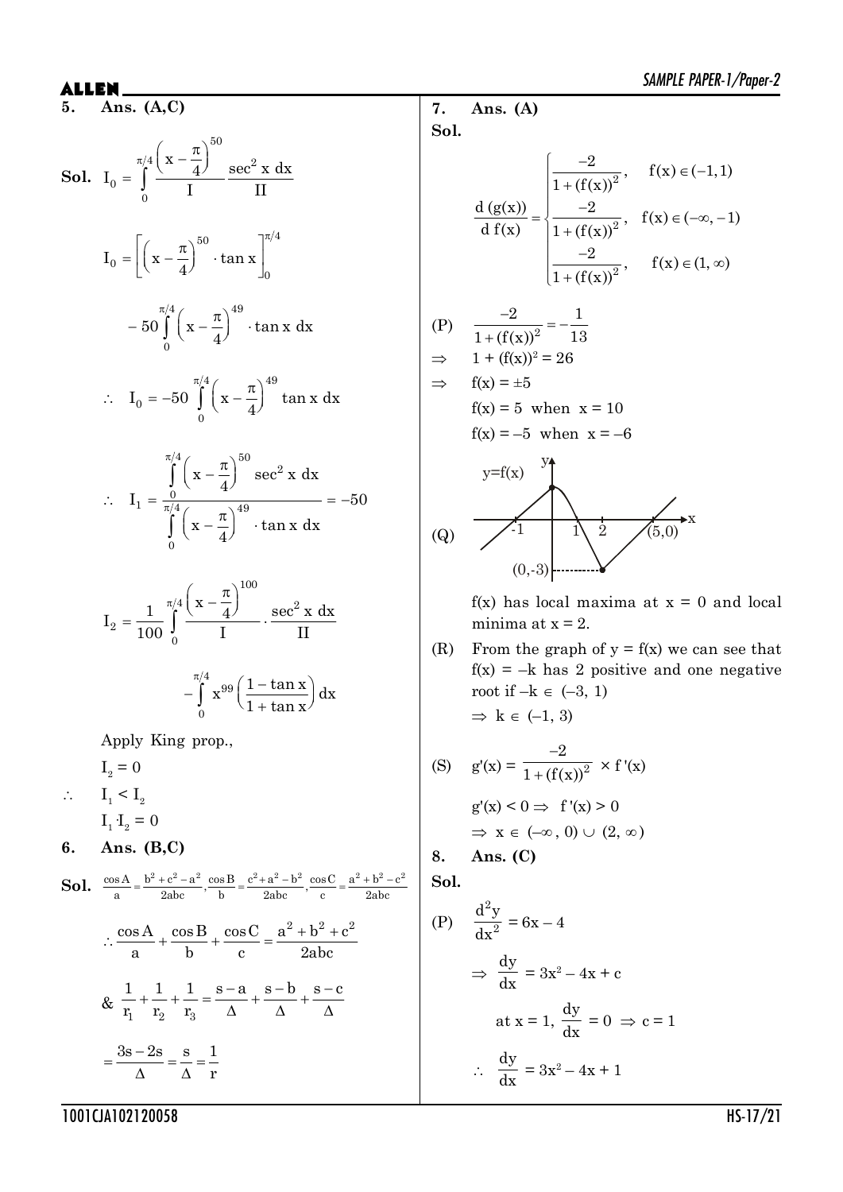**5. Ans. (A,C)**

**Sol.** 
$$
I_0 = \int_0^{\pi/4} \frac{\left(x - \frac{\pi}{4}\right)^{50}}{I} \frac{\sec^2 x \, dx}{II}
$$

$$
-50\int_{0}^{\pi/4} \left(x - \frac{\pi}{4}\right)^{49} \cdot \tan x \ dx
$$

 $=\left[\left(x-\frac{\pi}{4}\right) \quad \tan x\right]_0$ 

 $0 - \left[ \left( \frac{\mathbf{x} - \frac{1}{4}}{\mathbf{a}} \right)$   $\left[ \tan \frac{\mathbf{x}}{2} \right]_0$  $I_0 = ||x - \frac{\kappa}{\epsilon}|$  tan x 4

$$
\therefore I_0 = -50 \int_0^{\pi/4} \left( x - \frac{\pi}{4} \right)^{49} \tan x \, dx
$$

$$
\therefore I_1 = \frac{\int_{0}^{\pi/4} (x - \frac{\pi}{4})^{50} \sec^2 x \, dx}{\int_{0}^{\pi/4} (x - \frac{\pi}{4})^{49} \cdot \tan x \, dx} = -50
$$

$$
I_2 = \frac{1}{100} \int_{0}^{\pi/4} \frac{\left(x - \frac{\pi}{4}\right)^{100}}{I} \cdot \frac{\sec^2 x \, dx}{II}
$$

$$
-\int_{0}^{\pi/4} x^{99} \left(\frac{1-\tan x}{1+\tan x}\right) dx
$$

Apply King prop.,

 $I_2 = 0$  $\therefore$   $I_1 < I_2$  $I_1 \cdot I_2 = 0$ 

$$
6. \quad \text{Ans. (B,C)}
$$

**Sol.** 
$$
\frac{\cos A}{a} = \frac{b^2 + c^2 - a^2}{2abc}, \frac{\cos B}{b} = \frac{c^2 + a^2 - b^2}{2abc}, \frac{\cos C}{c} = \frac{a^2 + b^2 - c^2}{2abc}
$$

$$
\therefore \frac{\cos A}{a} + \frac{\cos B}{b} + \frac{\cos C}{c} = \frac{a^2 + b^2 + c^2}{2abc}
$$

$$
\& \frac{1}{r_1} + \frac{1}{r_2} + \frac{1}{r_3} = \frac{s - a}{\Delta} + \frac{s - b}{\Delta} + \frac{s - c}{\Delta}
$$

$$
= \frac{3s - 2s}{\Delta} = \frac{s}{\Delta} = \frac{1}{r}
$$

**7. Ans. (A) Sol.**

$$
\frac{d (g(x))}{d f(x)} = \begin{cases}\n\frac{-2}{1 + (f(x))^{2}}, & f(x) \in (-1, 1) \\
\frac{-2}{1 + (f(x))^{2}}, & f(x) \in (-\infty, -1) \\
\frac{-2}{1 + (f(x))^{2}}, & f(x) \in (1, \infty)\n\end{cases}
$$

(P) 
$$
\frac{-2}{1 + (f(x))^2} = -\frac{1}{13}
$$

$$
\Rightarrow 1 + (f(x))^2 = 26
$$
  

$$
\Rightarrow f(x) = \pm 5
$$

$$
f(x) = 5 \text{ when } x = 10
$$
  

$$
f(x) = -5 \text{ when } x = -6
$$



 $f(x)$  has local maxima at  $x = 0$  and local minima at  $x = 2$ .

(R) From the graph of  $y = f(x)$  we can see that  $f(x) = -k$  has 2 positive and one negative root if  $-k \in (-3, 1)$  $\Rightarrow k \in (-1, 3)$ 

(S) 
$$
g'(x) = \frac{-2}{1 + (f(x))^2} \times f'(x)
$$
  
\n $g'(x) < 0 \Rightarrow f'(x) > 0$   
\n $\Rightarrow x \in (-\infty, 0) \cup (2, \infty)$   
\n8. Ans. (C)

**Sol.**

(P) 
$$
\frac{d^2y}{dx^2} = 6x - 4
$$

$$
\Rightarrow \frac{dy}{dx} = 3x^2 - 4x + c
$$
at  $x = 1$ , 
$$
\frac{dy}{dx} = 0 \Rightarrow c = 1
$$

$$
\therefore \frac{dy}{dx} = 3x^2 - 4x + 1
$$

1001CJA102120058 HS-17/21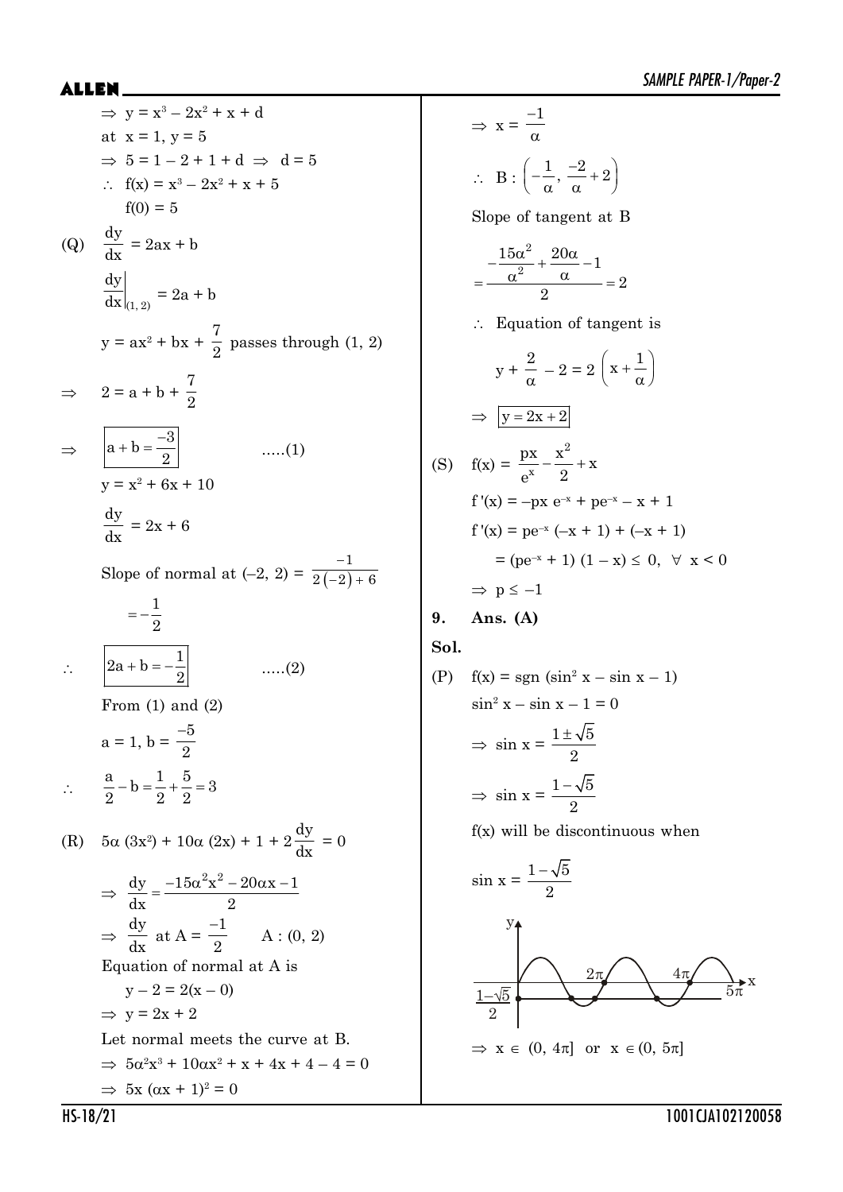SAMPLE PAPER-1/Paper-2

⇒ 
$$
y = x^3 - 2x^2 + x + d
$$
  
\nat x = 1, y = 5  
\n⇒ 5 = 1 - 2 + 1 + d ⇒ d = 5  
\n∴ f(x) = x<sup>3</sup> - 2x<sup>2</sup> + x + 5  
\nf(0) = 5  
\n(Q)  $\frac{dy}{dx} = 2ax + b$   
\n $\frac{dy}{dx}|_{(1,2)} = 2a + b$   
\ny = ax<sup>2</sup> + bx +  $\frac{7}{2}$  passes through (1, 2)  
\n⇒  $2 = a + b + \frac{7}{2}$   
\n⇒  $\frac{a + b = \frac{-3}{2}}{x^2 + 6x + 10}$   
\n $\frac{dy}{dx} = 2x + 6$   
\nSlope of normal at (-2, 2) =  $\frac{-1}{2(-2) + 6}$   
\n $= -\frac{1}{2}$   
\n∴  $\frac{2a + b = -\frac{1}{2}}{2}$  ....(2)  
\nFrom (1) and (2)  
\n $a = 1, b = \frac{-5}{2}$   
\n∴  $\frac{a}{2} - b = \frac{1}{2} + \frac{5}{2} = 3$   
\n(R) 5α (3x<sup>2</sup>) + 10α (2x) + 1 + 2 $\frac{dy}{dx} = 0$   
\n⇒  $\frac{dy}{dx} = \frac{-15a^2x^2 - 20ax - 1}{2}$   
\n⇒  $\frac{dy}{dx} = \frac{a}{2}$   
\n⇒  $\frac{dy}{dx} = \frac{a}{2}$   
\n⇒  $\frac{dy}{dx} = \frac{a}{2}$   
\n⇒  $\frac{dy}{dx} = \frac{a}{2}$   
\n∴  $y = 2x + 2$   
\nLet normal meets the curve at B.  
\n⇒  $5a^2x^3 + 10ax^2 + x + 4x + 4 - 4 = 0$ 

$$
\Rightarrow x = \frac{-1}{\alpha}
$$
  
\n
$$
\therefore B : \left(-\frac{1}{\alpha}, \frac{-2}{\alpha} + 2\right)
$$
  
\nSlope of tangent at B  
\n
$$
= \frac{-\frac{15\alpha^2}{\alpha^2} + \frac{20\alpha}{\alpha} - 1}{2} = 2
$$
  
\n
$$
\therefore \text{ Equation of tangent is}
$$
  
\n
$$
y + \frac{2}{\alpha} - 2 = 2\left(x + \frac{1}{\alpha}\right)
$$
  
\n
$$
\Rightarrow \boxed{y = 2x + 2}
$$
  
\n(S)  $f(x) = \frac{px}{e^x} - \frac{x^2}{2} + x$   
\n $f'(x) = -px e^{-x} + pe^{-x} - x + 1$   
\n $f'(x) = pe^{-x} (-x + 1) + (-x + 1)$   
\n $= (pe^{-x} + 1) (1 - x) \le 0, \forall x < 0$   
\n $\Rightarrow p \le -1$   
\n9. Ans. (A)  
\nSol.  
\n(P)  $f(x) = \text{sgn} (\sin^2 x - \sin x - 1)$   
\n $\sin^2 x - \sin x - 1 = 0$   
\n $\Rightarrow \sin x = \frac{1 \pm \sqrt{5}}{2}$ 

$$
\Rightarrow \sin x = \frac{1 - \sqrt{5}}{2}
$$

f(x) will be discontinuous when

sin x = 1 5 2 2S 4S 5S 1– 5 2 x y x (0, 4S] or x (0, 5S]

 $\Rightarrow$  5x ( $\alpha x + 1$ )<sup>2</sup> = 0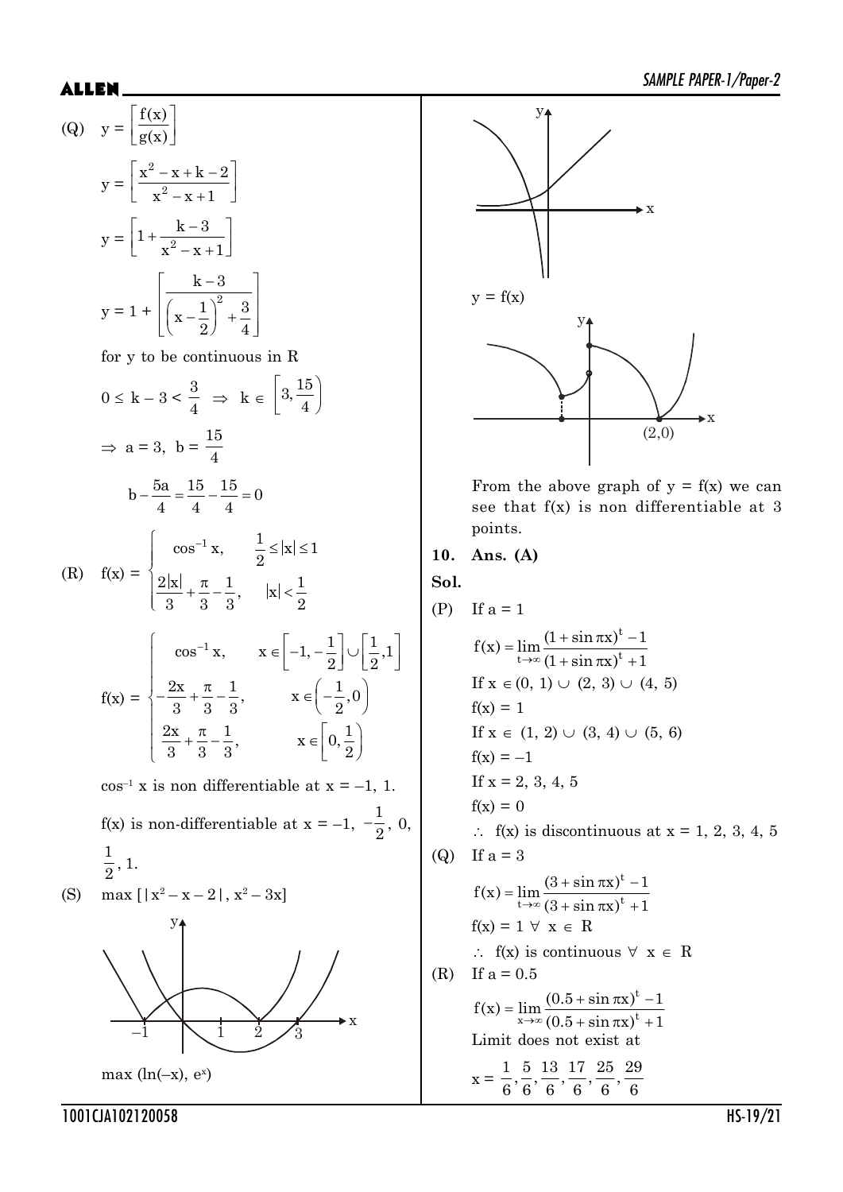(Q) 
$$
y = \left[\frac{f(x)}{g(x)}\right]
$$

$$
y = \left[\frac{x^2 - x + k - 2}{x^2 - x + 1}\right]
$$

$$
y = \left[1 + \frac{k - 3}{x^2 - x + 1}\right]
$$

$$
y = 1 + \left[\frac{k - 3}{\left(x - \frac{1}{2}\right)^2 + \frac{3}{4}}\right]
$$

for y to be continuous in R

$$
0 \le k - 3 < \frac{3}{4} \implies k \in \left[3, \frac{15}{4}\right)
$$
\n
$$
\implies a = 3, \ b = \frac{15}{4}
$$
\n
$$
b - \frac{5a}{4} = \frac{15}{4} - \frac{15}{4} = 0
$$

(R) 
$$
f(x) = \begin{cases} \cos^{-1} x, & \frac{1}{2} \le |x| \le 1 \\ \frac{2|x|}{3} + \frac{\pi}{3} - \frac{1}{3}, & |x| < \frac{1}{2} \end{cases}
$$
  

$$
\begin{cases} \cos^{-1} x, & x \in \left[-1, -\frac{1}{2}\right] \cup \left[\frac{1}{2}, 1\right] \\ 0, & \text{otherwise} \end{cases}
$$

$$
f(x) = \begin{cases} \frac{2x}{3} + \frac{\pi}{3} - \frac{1}{3}, & x \in \left(-\frac{1}{2}, 0\right) \\ \frac{2x}{3} + \frac{\pi}{3} - \frac{1}{3}, & x \in \left[0, \frac{1}{2}\right) \end{cases}
$$

 $\cos^{-1} x$  is non differentiable at  $x = -1$ , 1.  $f(x)$  is non-differentiable at  $x = -1$ , 1  $-\frac{1}{2}, 0,$ 1  $\frac{1}{2}$ , 1.

(S) 
$$
\max [ |x^2 - x - 2|, x^2 - 3x ]
$$



 $max(ln(-x), e^x)$ 



From the above graph of  $y = f(x)$  we can see that f(x) is non differentiable at 3 points.

### **10. Ans. (A)**

**Sol.**

 $(P)$  If  $a = 1$ t  $f(x) = \lim_{t \to \infty} \frac{(1 + \sin \pi x)^t - 1}{(1 + \sin \pi x)^t + 1}$  $\rightarrow \infty$   $(1 + \sin \pi x)^t + 1$  $=\lim \frac{(1+\sin \pi x)^t +\sin \pi x$ <sup>t</sup> + If  $x \in (0, 1) \cup (2, 3) \cup (4, 5)$  $f(x) = 1$ If  $x \in (1, 2) \cup (3, 4) \cup (5, 6)$  $f(x) = -1$ If  $x = 2, 3, 4, 5$  $f(x) = 0$  $\therefore$  f(x) is discontinuous at x = 1, 2, 3, 4, 5 (Q) If  $a = 3$ t  $f(x) = \lim_{t \to \infty} \frac{(3 + \sin \pi x)^t - 1}{(3 + \sin \pi x)^t + 1}$  $\rightarrow \infty (3 + \sin \pi x)^t + 1$  $=\lim \frac{(3+\sin \pi x)^t +\sin \pi x$ <sup>t</sup> +  $f(x) = 1 \forall x \in R$  $\therefore$  f(x) is continuous  $\forall x \in R$ (R) If  $a = 0.5$ t  $f(x) = \lim_{x \to \infty} \frac{(0.5 + \sin \pi x)^t - 1}{(0.5 + \sin \pi x)^t + 1}$  $\rightarrow \infty (0.5 + \sin \pi x)^t + 1$  $=\lim \frac{(0.5 + \sin \pi x)^t - (0.5 + \sin \pi x)^t}{t}$  $+\sin \pi x$ <sup>t</sup> + Limit does not exist at  $x =$  $\frac{1}{2}, \frac{5}{2}, \frac{13}{2}, \frac{17}{2}, \frac{25}{2}, \frac{29}{2}$  $6^{\degree}6^{\degree}6^{\degree}6^{\degree}6^{\degree}6^{\degree}$ 

1001CJA102120058 HS-19/21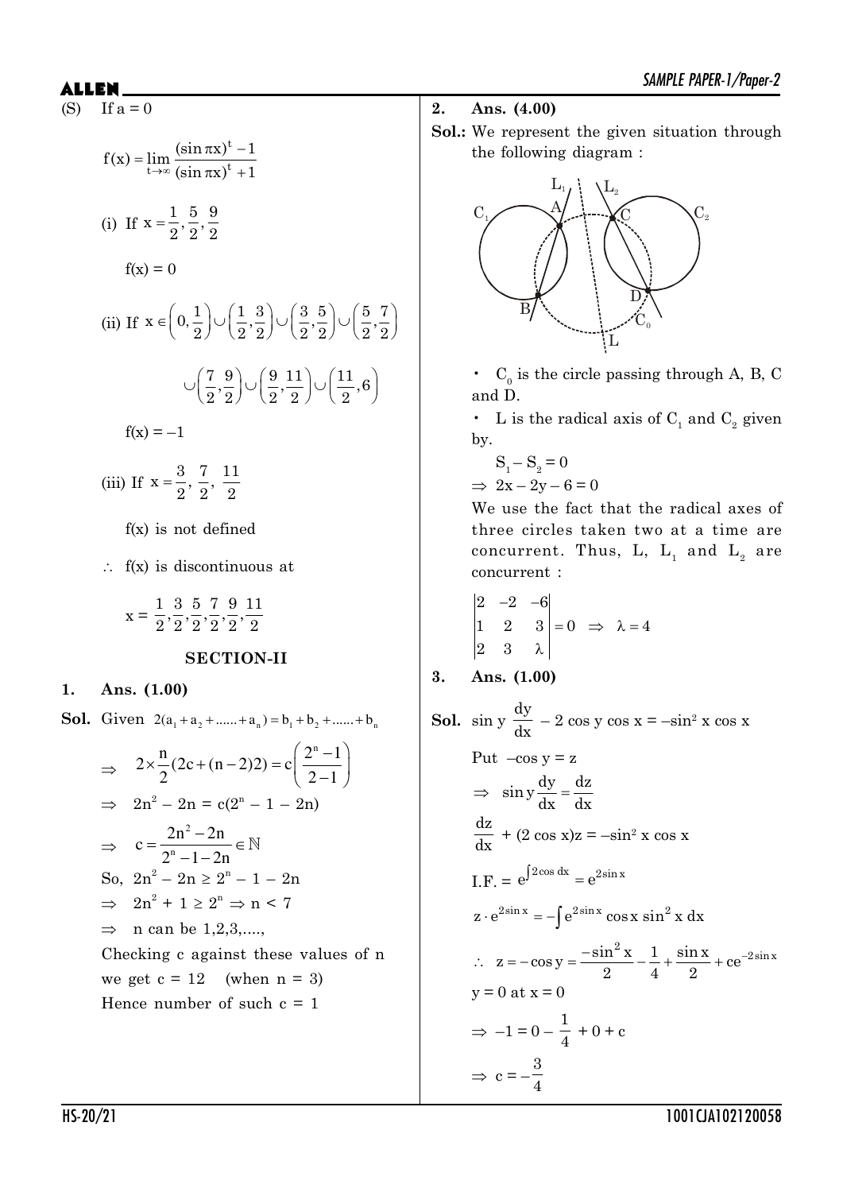(S) If  $a = 0$ 

$$
f(x) = \lim_{t \to \infty} \frac{(\sin \pi x)^t - 1}{(\sin \pi x)^t + 1}
$$
  
(i) If  $x = \frac{1}{2}, \frac{5}{2}, \frac{9}{2}$   
 $f(x) = 0$   
(ii) If  $x \in \left(0, \frac{1}{2}\right) \cup \left(\frac{1}{2}, \frac{3}{2}\right) \cup \left(\frac{3}{2}, \frac{5}{2}\right) \cup \left(\frac{5}{2}, \frac{7}{2}\right)$   
 $\cup \left(\frac{7}{2}, \frac{9}{2}\right) \cup \left(\frac{9}{2}, \frac{11}{2}\right) \cup \left(\frac{11}{2}, 6\right)$   
 $f(x) = -1$   
(iii) If  $x = \frac{3}{2}, \frac{7}{2}, \frac{11}{2}$ 

f(x) is not defined

 $\therefore$  f(x) is discontinuous at

$$
\mathbf{x} = \frac{1}{2}, \frac{3}{2}, \frac{5}{2}, \frac{7}{2}, \frac{9}{2}, \frac{11}{2}
$$

#### **SECTION-II**

#### **1. Ans. (1.00)**

**Sol.** Given  $2(a_1 + a_2 + \dots + a_n) = b_1 + b_2 + \dots + b_n$ 

$$
\Rightarrow 2 \times \frac{n}{2} (2c + (n-2)2) = c \left( \frac{2^{n} - 1}{2 - 1} \right)
$$
  
\n
$$
\Rightarrow 2n^{2} - 2n = c(2^{n} - 1 - 2n)
$$
  
\n
$$
\Rightarrow c = \frac{2n^{2} - 2n}{2^{n} - 1 - 2n} \in \mathbb{N}
$$
  
\nSo,  $2n^{2} - 2n \ge 2^{n} - 1 - 2n$   
\n
$$
\Rightarrow 2n^{2} + 1 \ge 2^{n} \Rightarrow n < 7
$$
  
\n
$$
\Rightarrow n \text{ can be } 1, 2, 3, \dots,
$$
  
\nChecking c against these values of n  
\nwe get c = 12 (when n = 3)  
\nHence number of such c = 1

### **2. Ans. (4.00)**

**Sol.:** We represent the given situation through the following diagram :



•  $C_0$  is the circle passing through A, B, C and D.

• L is the radical axis of  $C_1$  and  $C_2$  given by.

$$
S_1 - S_2 = 0
$$
  
\n
$$
\Rightarrow 2x - 2y - 6 = 0
$$

We use the fact that the radical axes of three circles taken two at a time are concurrent. Thus, L,  $\mathop{\rm L{}}\nolimits_1$  and  $\mathop{\rm L{}}\nolimits_2$  are concurrent :

$$
\begin{vmatrix} 2 & -2 & -6 \\ 1 & 2 & 3 \\ 2 & 3 & \lambda \end{vmatrix} = 0 \Rightarrow \lambda = 4
$$

3. Ans. 
$$
(1.00)
$$

**Sol.** sin y dy  $\frac{dy}{dx}$  – 2 cos y cos x = –sin<sup>2</sup> x cos x

Put 
$$
-\cos y = z
$$
  
\n $\Rightarrow \sin y \frac{dy}{dx} = \frac{dz}{dx}$   
\n $\frac{dz}{dx} + (2 \cos x)z = -\sin^2 x \cos x$   
\nI.F. =  $e^{\int 2\cos dx} = e^{2\sin x}$   
\n $z \cdot e^{2\sin x} = -\int e^{2\sin x} \cos x \sin^2 x dx$   
\n $\therefore z = -\cos y = \frac{-\sin^2 x}{2} - \frac{1}{4} + \frac{\sin x}{2} + ce^{-2\sin x}$   
\n $y = 0$  at  $x = 0$   
\n $\Rightarrow -1 = 0 - \frac{1}{4} + 0 + c$   
\n $\Rightarrow c = -\frac{3}{4}$